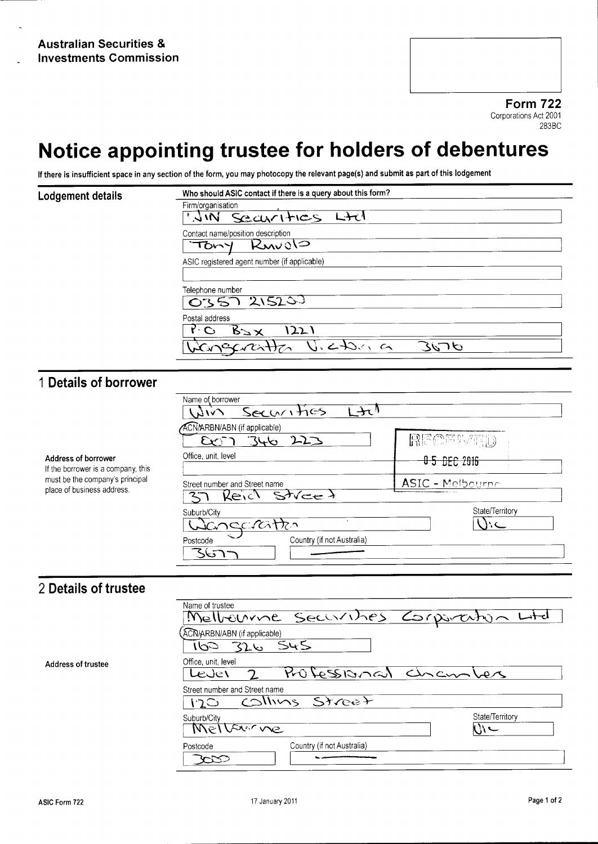**Form 722** Corporations Act 2001 283BC

# Notice appointing trustee for holders of debentures

If there is insufficient space in any section of the form, you may photocopy the relevant page(s) and submit as part of this lodgement

| Lodgement details | Who should ASIC contact if there is a query about this form?<br>Firm/organisation |
|-------------------|-----------------------------------------------------------------------------------|
|                   | Searthes Ltd<br>M/L                                                               |
|                   | Contact name/position description<br>Ruvols<br>TOWY                               |
|                   | ASIC registered agent number (if applicable)                                      |
|                   | Telephone number<br>0357215253                                                    |
|                   | Postal address<br>$B \geq \times$<br>1221<br>$\mathcal{C}$                        |
|                   | $U$ , $c + D$ , $n$<br>9675                                                       |

### 1 Details of borrower

|                                                               | Name of borrower<br>Securities<br>Ar<br>$\mathcal{N}(\mathcal{A})$          |                  |
|---------------------------------------------------------------|-----------------------------------------------------------------------------|------------------|
|                                                               | ACN/ARBN/ABN (if applicable)<br>746<br>223<br>$\sum_{i=1}^{n}$              | RECENTD          |
| Address of borrower<br>If the borrower is a company, this     | Office, unit, level                                                         | 0 5 DEC 2016     |
| must be the company's principal<br>place of business address. | Street number and Street name<br>Reich Street                               | ASIC - Melbourne |
|                                                               | Suburb/City<br>Dangeration<br>Country (if not Australia)<br>Postcode<br>367 | State/Territory  |

### 2 Details of trustee

|                    | Name of trustee<br>Melberrine Securibes Corporation Lita<br>ACNARBN/ABN (if applicable)<br>160 326 545 |
|--------------------|--------------------------------------------------------------------------------------------------------|
| Address of trustee | Office, unit, level<br>Professional cinconlers<br>لمختاف                                               |
|                    | Street number and Street name<br>COLLINS Street<br>いつ                                                  |
|                    | State/Territory<br>Suburb/City<br>Melburne<br>ل ا                                                      |
|                    | Country (if not Australia)<br>Postcode<br>$\sim$                                                       |